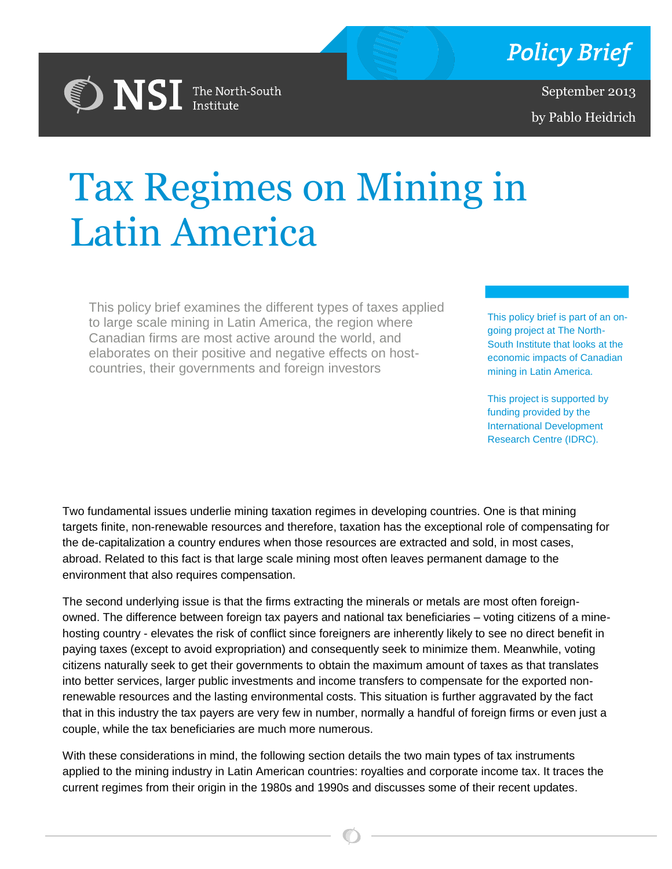

September 2013 by Pablo Heidrich

# Tax Regimes on Mining in Latin America By Jennifer Erin Slahub

This policy brief examines the different types of taxes applied to large scale mining in Latin America, the region where Canadian firms are most active around the world, and elaborates on their positive and negative effects on hostcountries, their governments and foreign investors

**DISI** The North-South

This policy brief is part of an ongoing project at The North-South Institute that looks at the economic impacts of Canadian mining in Latin America.

This project is supported by funding provided by the International Development Research Centre (IDRC).

Two fundamental issues underlie mining taxation regimes in developing countries. One is that mining targets finite, non-renewable resources and therefore, taxation has the exceptional role of compensating for the de-capitalization a country endures when those resources are extracted and sold, in most cases, abroad. Related to this fact is that large scale mining most often leaves permanent damage to the environment that also requires compensation.

that in this industry the tax payers are very few in number, normally a handful of foreign firms or even just a<br>couple, while the tax beneficiaries are much more numerous. The second underlying issue is that the firms extracting the minerals or metals are most often foreignowned. The difference between foreign tax payers and national tax beneficiaries – voting citizens of a minehosting country - elevates the risk of conflict since foreigners are inherently likely to see no direct benefit in paying taxes (except to avoid expropriation) and consequently seek to minimize them. Meanwhile, voting citizens naturally seek to get their governments to obtain the maximum amount of taxes as that translates into better services, larger public investments and income transfers to compensate for the exported nonrenewable resources and the lasting environmental costs. This situation is further aggravated by the fact couple, while the tax beneficiaries are much more numerous.

With these considerations in mind, the following section details the two main types of tax instruments applied to the mining industry in Latin American countries: royalties and corporate income tax. It traces the current regimes from their origin in the 1980s and 1990s and discusses some of their recent updates.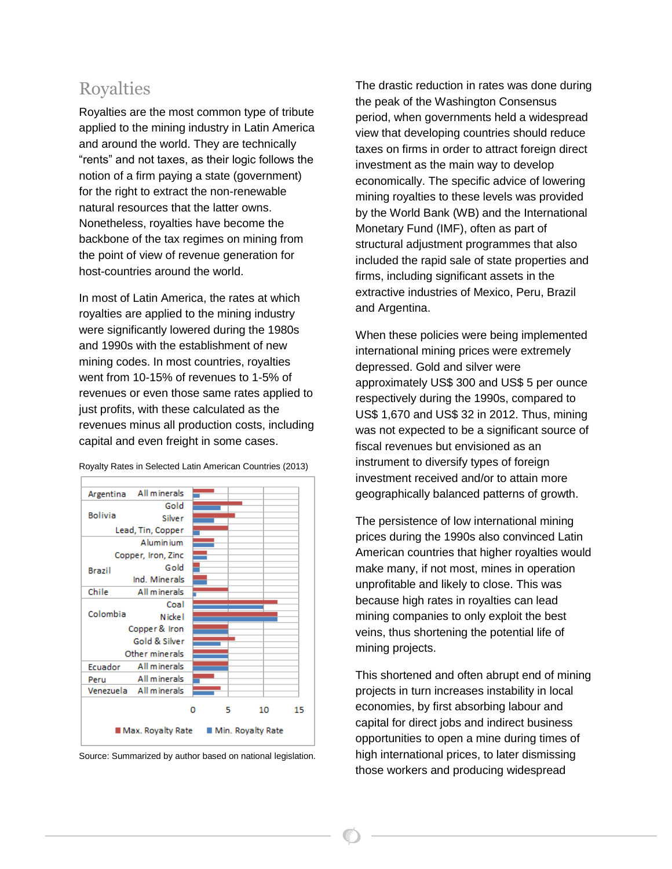### Royalties

Royalties are the most common type of tribute applied to the mining industry in Latin America and around the world. They are technically "rents" and not taxes, as their logic follows the notion of a firm paying a state (government) for the right to extract the non-renewable natural resources that the latter owns. Nonetheless, royalties have become the backbone of the tax regimes on mining from the point of view of revenue generation for host-countries around the world.

In most of Latin America, the rates at which royalties are applied to the mining industry were significantly lowered during the 1980s and 1990s with the establishment of new mining codes. In most countries, royalties went from 10-15% of revenues to 1-5% of revenues or even those same rates applied to just profits, with these calculated as the revenues minus all production costs, including capital and even freight in some cases.



Royalty Rates in Selected Latin American Countries (2013)

Source: Summarized by author based on national legislation.

The drastic reduction in rates was done during the peak of the Washington Consensus period, when governments held a widespread view that developing countries should reduce taxes on firms in order to attract foreign direct investment as the main way to develop economically. The specific advice of lowering mining royalties to these levels was provided by the World Bank (WB) and the International Monetary Fund (IMF), often as part of structural adjustment programmes that also included the rapid sale of state properties and firms, including significant assets in the extractive industries of Mexico, Peru, Brazil and Argentina.

When these policies were being implemented international mining prices were extremely depressed. Gold and silver were approximately US\$ 300 and US\$ 5 per ounce respectively during the 1990s, compared to US\$ 1,670 and US\$ 32 in 2012. Thus, mining was not expected to be a significant source of fiscal revenues but envisioned as an instrument to diversify types of foreign investment received and/or to attain more geographically balanced patterns of growth.

The persistence of low international mining prices during the 1990s also convinced Latin American countries that higher royalties would make many, if not most, mines in operation unprofitable and likely to close. This was because high rates in royalties can lead mining companies to only exploit the best veins, thus shortening the potential life of mining projects.

This shortened and often abrupt end of mining projects in turn increases instability in local economies, by first absorbing labour and capital for direct jobs and indirect business opportunities to open a mine during times of high international prices, to later dismissing those workers and producing widespread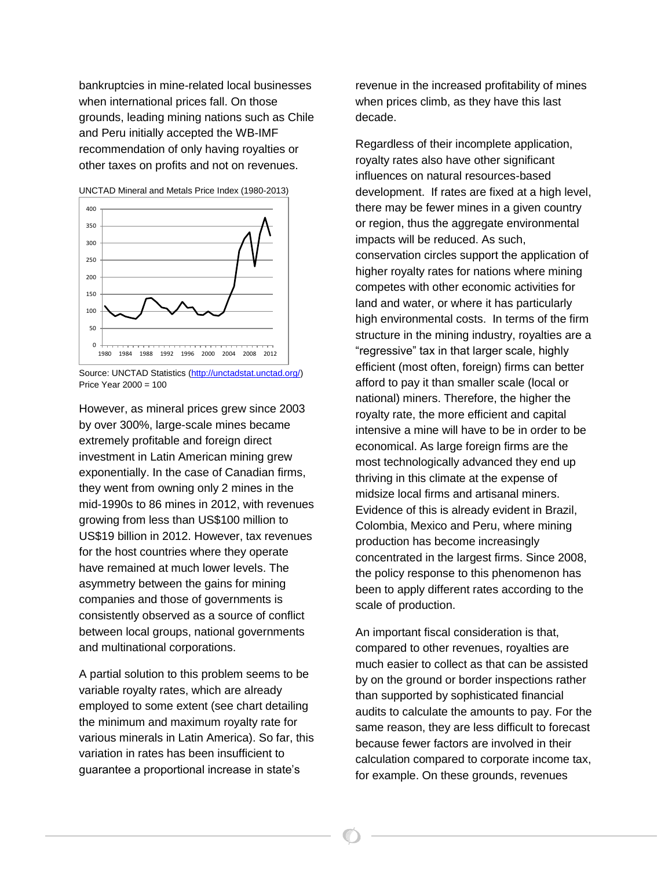bankruptcies in mine-related local businesses when international prices fall. On those grounds, leading mining nations such as Chile and Peru initially accepted the WB-IMF recommendation of only having royalties or other taxes on profits and not on revenues.



However, as mineral prices grew since 2003 by over 300%, large-scale mines became extremely profitable and foreign direct investment in Latin American mining grew exponentially. In the case of Canadian firms, they went from owning only 2 mines in the mid-1990s to 86 mines in 2012, with revenues growing from less than US\$100 million to US\$19 billion in 2012. However, tax revenues for the host countries where they operate have remained at much lower levels. The asymmetry between the gains for mining companies and those of governments is consistently observed as a source of conflict between local groups, national governments and multinational corporations.

A partial solution to this problem seems to be variable royalty rates, which are already employed to some extent (see chart detailing the minimum and maximum royalty rate for various minerals in Latin America). So far, this variation in rates has been insufficient to guarantee a proportional increase in state's

revenue in the increased profitability of mines when prices climb, as they have this last decade.

Regardless of their incomplete application, royalty rates also have other significant influences on natural resources-based development. If rates are fixed at a high level, there may be fewer mines in a given country or region, thus the aggregate environmental impacts will be reduced. As such, conservation circles support the application of higher royalty rates for nations where mining competes with other economic activities for land and water, or where it has particularly high environmental costs. In terms of the firm structure in the mining industry, royalties are a "regressive" tax in that larger scale, highly efficient (most often, foreign) firms can better afford to pay it than smaller scale (local or national) miners. Therefore, the higher the royalty rate, the more efficient and capital intensive a mine will have to be in order to be economical. As large foreign firms are the most technologically advanced they end up thriving in this climate at the expense of midsize local firms and artisanal miners. Evidence of this is already evident in Brazil, Colombia, Mexico and Peru, where mining production has become increasingly concentrated in the largest firms. Since 2008, the policy response to this phenomenon has been to apply different rates according to the scale of production.

An important fiscal consideration is that, compared to other revenues, royalties are much easier to collect as that can be assisted by on the ground or border inspections rather than supported by sophisticated financial audits to calculate the amounts to pay. For the same reason, they are less difficult to forecast because fewer factors are involved in their calculation compared to corporate income tax, for example. On these grounds, revenues

Source: UNCTAD Statistics [\(http://unctadstat.unctad.org/\)](http://unctadstat.unctad.org/) Price Year 2000 = 100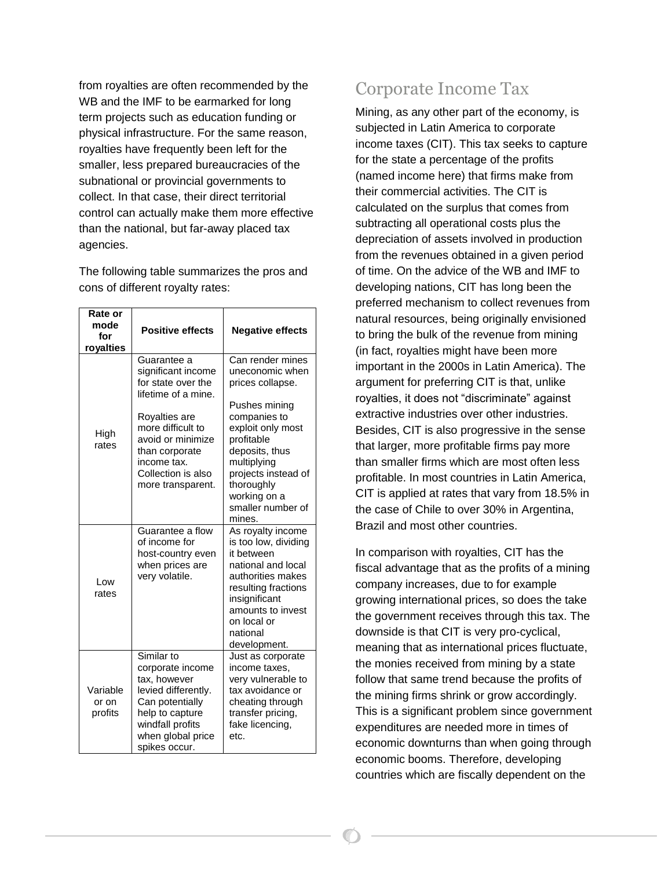from royalties are often recommended by the WB and the IMF to be earmarked for long term projects such as education funding or physical infrastructure. For the same reason, royalties have frequently been left for the smaller, less prepared bureaucracies of the subnational or provincial governments to collect. In that case, their direct territorial control can actually make them more effective than the national, but far-away placed tax agencies.

The following table summarizes the pros and cons of different royalty rates:

| Rate or<br>mode<br>for<br>royalties | <b>Positive effects</b>                                                                                                                                                                                               | <b>Negative effects</b>                                                                                                                                                                                                                          |
|-------------------------------------|-----------------------------------------------------------------------------------------------------------------------------------------------------------------------------------------------------------------------|--------------------------------------------------------------------------------------------------------------------------------------------------------------------------------------------------------------------------------------------------|
| High<br>rates                       | Guarantee a<br>significant income<br>for state over the<br>lifetime of a mine.<br>Royalties are<br>more difficult to<br>avoid or minimize<br>than corporate<br>income tax.<br>Collection is also<br>more transparent. | Can render mines<br>uneconomic when<br>prices collapse.<br>Pushes mining<br>companies to<br>exploit only most<br>profitable<br>deposits, thus<br>multiplying<br>projects instead of<br>thoroughly<br>working on a<br>smaller number of<br>mines. |
| Low<br>rates                        | Guarantee a flow<br>of income for<br>host-country even<br>when prices are<br>very volatile.                                                                                                                           | As royalty income<br>is too low, dividing<br>it between<br>national and local<br>authorities makes<br>resulting fractions<br>insignificant<br>amounts to invest<br>on local or<br>national<br>development.                                       |
| Variable<br>or on<br>profits        | Similar to<br>corporate income<br>tax, however<br>levied differently.<br>Can potentially<br>help to capture<br>windfall profits<br>when global price<br>spikes occur.                                                 | Just as corporate<br>income taxes,<br>very vulnerable to<br>tax avoidance or<br>cheating through<br>transfer pricing,<br>fake licencing,<br>etc.                                                                                                 |

# Corporate Income Tax

Mining, as any other part of the economy, is subjected in Latin America to corporate income taxes (CIT). This tax seeks to capture for the state a percentage of the profits (named income here) that firms make from their commercial activities. The CIT is calculated on the surplus that comes from subtracting all operational costs plus the depreciation of assets involved in production from the revenues obtained in a given period of time. On the advice of the WB and IMF to developing nations, CIT has long been the preferred mechanism to collect revenues from natural resources, being originally envisioned to bring the bulk of the revenue from mining (in fact, royalties might have been more important in the 2000s in Latin America). The argument for preferring CIT is that, unlike royalties, it does not "discriminate" against extractive industries over other industries. Besides, CIT is also progressive in the sense that larger, more profitable firms pay more than smaller firms which are most often less profitable. In most countries in Latin America, CIT is applied at rates that vary from 18.5% in the case of Chile to over 30% in Argentina, Brazil and most other countries.

In comparison with royalties, CIT has the fiscal advantage that as the profits of a mining company increases, due to for example growing international prices, so does the take the government receives through this tax. The downside is that CIT is very pro-cyclical, meaning that as international prices fluctuate, the monies received from mining by a state follow that same trend because the profits of the mining firms shrink or grow accordingly. This is a significant problem since government expenditures are needed more in times of economic downturns than when going through economic booms. Therefore, developing countries which are fiscally dependent on the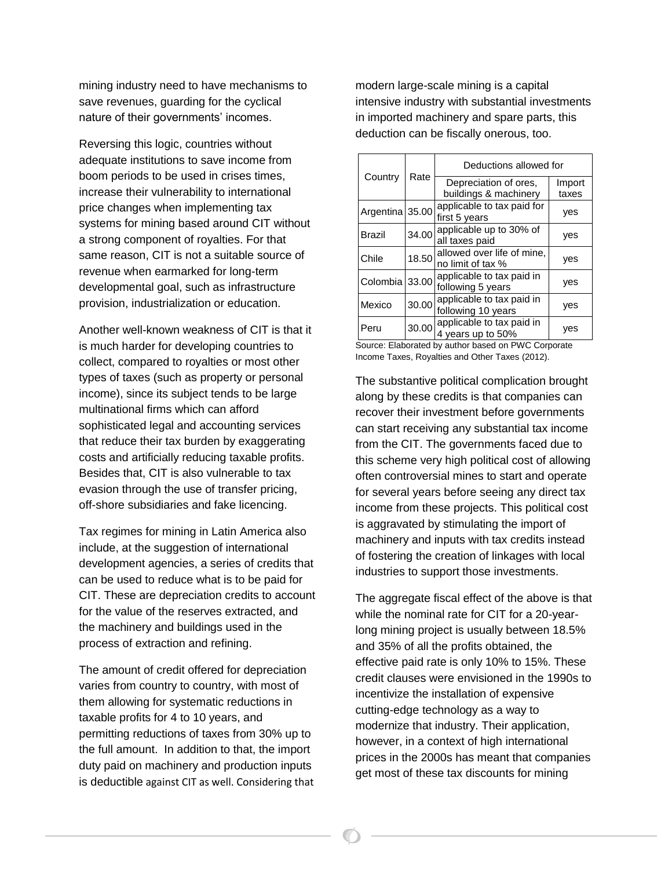mining industry need to have mechanisms to save revenues, guarding for the cyclical nature of their governments' incomes.

Reversing this logic, countries without adequate institutions to save income from boom periods to be used in crises times, increase their vulnerability to international price changes when implementing tax systems for mining based around CIT without a strong component of royalties. For that same reason, CIT is not a suitable source of revenue when earmarked for long-term developmental goal, such as infrastructure provision, industrialization or education.

Another well-known weakness of CIT is that it is much harder for developing countries to collect, compared to royalties or most other types of taxes (such as property or personal income), since its subject tends to be large multinational firms which can afford sophisticated legal and accounting services that reduce their tax burden by exaggerating costs and artificially reducing taxable profits. Besides that, CIT is also vulnerable to tax evasion through the use of transfer pricing, off-shore subsidiaries and fake licencing.

Tax regimes for mining in Latin America also include, at the suggestion of international development agencies, a series of credits that can be used to reduce what is to be paid for CIT. These are depreciation credits to account for the value of the reserves extracted, and the machinery and buildings used in the process of extraction and refining.

The amount of credit offered for depreciation varies from country to country, with most of them allowing for systematic reductions in taxable profits for 4 to 10 years, and permitting reductions of taxes from 30% up to the full amount. In addition to that, the import duty paid on machinery and production inputs is deductible against CIT as well. Considering that modern large-scale mining is a capital intensive industry with substantial investments in imported machinery and spare parts, this deduction can be fiscally onerous, too.

| Country         | Rate  | Deductions allowed for                          |                 |  |
|-----------------|-------|-------------------------------------------------|-----------------|--|
|                 |       | Depreciation of ores.<br>buildings & machinery  | Import<br>taxes |  |
| Argentina 35.00 |       | applicable to tax paid for<br>first 5 years     | ves             |  |
| <b>Brazil</b>   | 34.00 | applicable up to 30% of<br>all taxes paid       | yes             |  |
| Chile           | 18.50 | allowed over life of mine,<br>no limit of tax % | yes             |  |
| Colombia 33.00  |       | applicable to tax paid in<br>following 5 years  | yes             |  |
| Mexico          | 30.00 | applicable to tax paid in<br>following 10 years | ves             |  |
| Peru            | 30.00 | applicable to tax paid in<br>4 years up to 50%  | ves             |  |

Source: Elaborated by author based on PWC Corporate Income Taxes, Royalties and Other Taxes (2012).

The substantive political complication brought along by these credits is that companies can recover their investment before governments can start receiving any substantial tax income from the CIT. The governments faced due to this scheme very high political cost of allowing often controversial mines to start and operate for several years before seeing any direct tax income from these projects. This political cost is aggravated by stimulating the import of machinery and inputs with tax credits instead of fostering the creation of linkages with local industries to support those investments.

The aggregate fiscal effect of the above is that while the nominal rate for CIT for a 20-yearlong mining project is usually between 18.5% and 35% of all the profits obtained, the effective paid rate is only 10% to 15%. These credit clauses were envisioned in the 1990s to incentivize the installation of expensive cutting-edge technology as a way to modernize that industry. Their application, however, in a context of high international prices in the 2000s has meant that companies get most of these tax discounts for mining